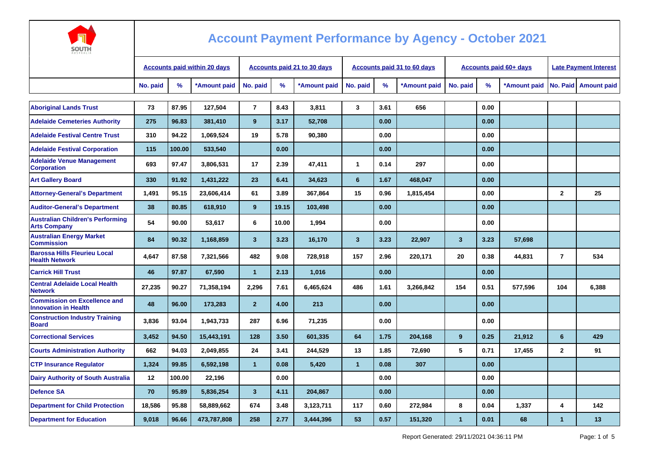

| AUSTRALIA                                                          |                                     |        |              |                                    |       |              |                         |      |                                    |                         |                               |                              |                |                    |  |  |
|--------------------------------------------------------------------|-------------------------------------|--------|--------------|------------------------------------|-------|--------------|-------------------------|------|------------------------------------|-------------------------|-------------------------------|------------------------------|----------------|--------------------|--|--|
|                                                                    | <b>Accounts paid within 20 days</b> |        |              | <b>Accounts paid 21 to 30 days</b> |       |              |                         |      | <b>Accounts paid 31 to 60 days</b> |                         | <b>Accounts paid 60+ days</b> | <b>Late Payment Interest</b> |                |                    |  |  |
|                                                                    | No. paid                            | $\%$   | *Amount paid | No. paid                           | %     | *Amount paid | No. paid                | $\%$ | *Amount paid                       | No. paid                | $\%$                          | *Amount paid                 | No. Paid       | <b>Amount paid</b> |  |  |
|                                                                    |                                     |        |              |                                    |       |              |                         |      |                                    |                         |                               |                              |                |                    |  |  |
| <b>Aboriginal Lands Trust</b>                                      | 73                                  | 87.95  | 127,504      | $\overline{7}$                     | 8.43  | 3,811        | 3                       | 3.61 | 656                                |                         | 0.00                          |                              |                |                    |  |  |
| <b>Adelaide Cemeteries Authority</b>                               | 275                                 | 96.83  | 381,410      | 9                                  | 3.17  | 52,708       |                         | 0.00 |                                    |                         | 0.00                          |                              |                |                    |  |  |
| <b>Adelaide Festival Centre Trust</b>                              | 310                                 | 94.22  | 1,069,524    | 19                                 | 5.78  | 90,380       |                         | 0.00 |                                    |                         | 0.00                          |                              |                |                    |  |  |
| <b>Adelaide Festival Corporation</b>                               | 115                                 | 100.00 | 533,540      |                                    | 0.00  |              |                         | 0.00 |                                    |                         | 0.00                          |                              |                |                    |  |  |
| <b>Adelaide Venue Management</b><br><b>Corporation</b>             | 693                                 | 97.47  | 3,806,531    | 17                                 | 2.39  | 47,411       | $\mathbf{1}$            | 0.14 | 297                                |                         | 0.00                          |                              |                |                    |  |  |
| <b>Art Gallery Board</b>                                           | 330                                 | 91.92  | 1,431,222    | 23                                 | 6.41  | 34,623       | $6\phantom{1}$          | 1.67 | 468,047                            |                         | 0.00                          |                              |                |                    |  |  |
| <b>Attorney-General's Department</b>                               | 1,491                               | 95.15  | 23,606,414   | 61                                 | 3.89  | 367,864      | 15                      | 0.96 | 1,815,454                          |                         | 0.00                          |                              | $\mathbf{2}$   | 25                 |  |  |
| <b>Auditor-General's Department</b>                                | 38                                  | 80.85  | 618,910      | 9                                  | 19.15 | 103,498      |                         | 0.00 |                                    |                         | 0.00                          |                              |                |                    |  |  |
| <b>Australian Children's Performing</b><br><b>Arts Company</b>     | 54                                  | 90.00  | 53,617       | 6                                  | 10.00 | 1,994        |                         | 0.00 |                                    |                         | 0.00                          |                              |                |                    |  |  |
| <b>Australian Energy Market</b><br><b>Commission</b>               | 84                                  | 90.32  | 1,168,859    | $\mathbf{3}$                       | 3.23  | 16,170       | $\overline{\mathbf{3}}$ | 3.23 | 22,907                             | $\overline{\mathbf{3}}$ | 3.23                          | 57,698                       |                |                    |  |  |
| <b>Barossa Hills Fleurieu Local</b><br><b>Health Network</b>       | 4,647                               | 87.58  | 7,321,566    | 482                                | 9.08  | 728,918      | 157                     | 2.96 | 220,171                            | 20                      | 0.38                          | 44,831                       | $\overline{7}$ | 534                |  |  |
| <b>Carrick Hill Trust</b>                                          | 46                                  | 97.87  | 67,590       | $\mathbf{1}$                       | 2.13  | 1,016        |                         | 0.00 |                                    |                         | 0.00                          |                              |                |                    |  |  |
| <b>Central Adelaide Local Health</b><br><b>Network</b>             | 27,235                              | 90.27  | 71,358,194   | 2,296                              | 7.61  | 6,465,624    | 486                     | 1.61 | 3,266,842                          | 154                     | 0.51                          | 577,596                      | 104            | 6,388              |  |  |
| <b>Commission on Excellence and</b><br><b>Innovation in Health</b> | 48                                  | 96.00  | 173,283      | 2 <sup>2</sup>                     | 4.00  | 213          |                         | 0.00 |                                    |                         | 0.00                          |                              |                |                    |  |  |
| <b>Construction Industry Training</b><br><b>Board</b>              | 3,836                               | 93.04  | 1,943,733    | 287                                | 6.96  | 71,235       |                         | 0.00 |                                    |                         | 0.00                          |                              |                |                    |  |  |
| <b>Correctional Services</b>                                       | 3,452                               | 94.50  | 15,443,191   | 128                                | 3.50  | 601,335      | 64                      | 1.75 | 204,168                            | 9                       | 0.25                          | 21,912                       | 6              | 429                |  |  |
| <b>Courts Administration Authority</b>                             | 662                                 | 94.03  | 2,049,855    | 24                                 | 3.41  | 244,529      | 13                      | 1.85 | 72,690                             | 5                       | 0.71                          | 17,455                       | $\overline{2}$ | 91                 |  |  |
| <b>CTP Insurance Requlator</b>                                     | 1,324                               | 99.85  | 6,592,198    | $\mathbf{1}$                       | 0.08  | 5,420        | $\mathbf{1}$            | 0.08 | 307                                |                         | 0.00                          |                              |                |                    |  |  |
| <b>Dairy Authority of South Australia</b>                          | 12                                  | 100.00 | 22,196       |                                    | 0.00  |              |                         | 0.00 |                                    |                         | 0.00                          |                              |                |                    |  |  |
| <b>Defence SA</b>                                                  | 70                                  | 95.89  | 5,836,254    | $\mathbf{3}$                       | 4.11  | 204,867      |                         | 0.00 |                                    |                         | 0.00                          |                              |                |                    |  |  |
| <b>Department for Child Protection</b>                             | 18,586                              | 95.88  | 58,889,662   | 674                                | 3.48  | 3,123,711    | 117                     | 0.60 | 272,984                            | 8                       | 0.04                          | 1,337                        | 4              | 142                |  |  |
| <b>Department for Education</b>                                    | 9,018                               | 96.66  | 473,787,808  | 258                                | 2.77  | 3,444,396    | 53                      | 0.57 | 151,320                            | 1                       | 0.01                          | 68                           | 1              | 13                 |  |  |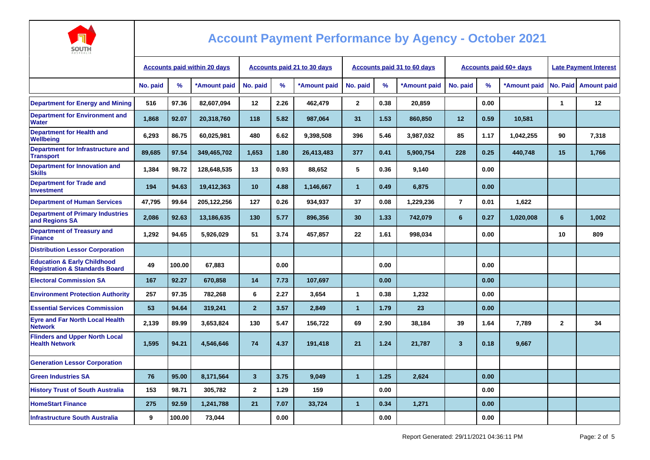

| AUSTRALIA                                                                           |                                     |               |                                    |                         |      |                                    |                |      |              |                        |                              |              |              |                    |
|-------------------------------------------------------------------------------------|-------------------------------------|---------------|------------------------------------|-------------------------|------|------------------------------------|----------------|------|--------------|------------------------|------------------------------|--------------|--------------|--------------------|
|                                                                                     | <b>Accounts paid within 20 days</b> |               | <b>Accounts paid 21 to 30 days</b> |                         |      | <b>Accounts paid 31 to 60 days</b> |                |      |              | Accounts paid 60+ days | <b>Late Payment Interest</b> |              |              |                    |
|                                                                                     | No. paid                            | $\frac{9}{6}$ | *Amount paid                       | No. paid                | $\%$ | *Amount paid                       | No. paid       | %    | *Amount paid | No. paid               | %                            | *Amount paid | No. Paid     | <b>Amount paid</b> |
| <b>Department for Energy and Mining</b>                                             | 516                                 | 97.36         | 82,607,094                         | 12                      | 2.26 | 462,479                            | $\mathbf{2}$   | 0.38 | 20,859       |                        | 0.00                         |              | 1            | 12                 |
| <b>Department for Environment and</b><br><b>Water</b>                               | 1,868                               | 92.07         | 20,318,760                         | 118                     | 5.82 | 987,064                            | 31             | 1.53 | 860,850      | 12                     | 0.59                         | 10,581       |              |                    |
| <b>Department for Health and</b><br><b>Wellbeing</b>                                | 6,293                               | 86.75         | 60,025,981                         | 480                     | 6.62 | 9,398,508                          | 396            | 5.46 | 3,987,032    | 85                     | 1.17                         | 1,042,255    | 90           | 7,318              |
| Department for Infrastructure and<br><b>Transport</b>                               | 89,685                              | 97.54         | 349,465,702                        | 1,653                   | 1.80 | 26,413,483                         | 377            | 0.41 | 5,900,754    | 228                    | 0.25                         | 440,748      | 15           | 1,766              |
| Department for Innovation and<br><b>Skills</b>                                      | 1,384                               | 98.72         | 128,648,535                        | 13                      | 0.93 | 88,652                             | 5              | 0.36 | 9,140        |                        | 0.00                         |              |              |                    |
| <b>Department for Trade and</b><br><b>Investment</b>                                | 194                                 | 94.63         | 19,412,363                         | 10                      | 4.88 | 1,146,667                          | $\mathbf{1}$   | 0.49 | 6,875        |                        | 0.00                         |              |              |                    |
| <b>Department of Human Services</b>                                                 | 47,795                              | 99.64         | 205,122,256                        | 127                     | 0.26 | 934,937                            | 37             | 0.08 | 1,229,236    | $\overline{7}$         | 0.01                         | 1,622        |              |                    |
| <b>Department of Primary Industries</b><br>and Regions SA                           | 2,086                               | 92.63         | 13,186,635                         | 130                     | 5.77 | 896,356                            | 30             | 1.33 | 742,079      | 6                      | 0.27                         | 1,020,008    | 6            | 1,002              |
| <b>Department of Treasury and</b><br><b>Finance</b>                                 | 1,292                               | 94.65         | 5,926,029                          | 51                      | 3.74 | 457,857                            | 22             | 1.61 | 998,034      |                        | 0.00                         |              | 10           | 809                |
| <b>Distribution Lessor Corporation</b>                                              |                                     |               |                                    |                         |      |                                    |                |      |              |                        |                              |              |              |                    |
| <b>Education &amp; Early Childhood</b><br><b>Registration &amp; Standards Board</b> | 49                                  | 100.00        | 67,883                             |                         | 0.00 |                                    |                | 0.00 |              |                        | 0.00                         |              |              |                    |
| <b>Electoral Commission SA</b>                                                      | 167                                 | 92.27         | 670.858                            | 14                      | 7.73 | 107.697                            |                | 0.00 |              |                        | 0.00                         |              |              |                    |
| <b>Environment Protection Authority</b>                                             | 257                                 | 97.35         | 782,268                            | 6                       | 2.27 | 3,654                              | $\mathbf{1}$   | 0.38 | 1,232        |                        | 0.00                         |              |              |                    |
| <b>Essential Services Commission</b>                                                | 53                                  | 94.64         | 319,241                            | $\overline{2}$          | 3.57 | 2,849                              | 1              | 1.79 | 23           |                        | 0.00                         |              |              |                    |
| <b>Eyre and Far North Local Health</b><br><b>Network</b>                            | 2,139                               | 89.99         | 3,653,824                          | 130                     | 5.47 | 156,722                            | 69             | 2.90 | 38,184       | 39                     | 1.64                         | 7,789        | $\mathbf{2}$ | 34                 |
| <b>Flinders and Upper North Local</b><br><b>Health Network</b>                      | 1,595                               | 94.21         | 4,546,646                          | 74                      | 4.37 | 191,418                            | 21             | 1.24 | 21,787       | $\mathbf{3}$           | 0.18                         | 9,667        |              |                    |
| <b>Generation Lessor Corporation</b>                                                |                                     |               |                                    |                         |      |                                    |                |      |              |                        |                              |              |              |                    |
| <b>Green Industries SA</b>                                                          | 76                                  | 95.00         | 8,171,564                          | $\overline{\mathbf{3}}$ | 3.75 | 9,049                              | $\overline{1}$ | 1.25 | 2,624        |                        | 0.00                         |              |              |                    |
| <b>History Trust of South Australia</b>                                             | 153                                 | 98.71         | 305,782                            | $\mathbf{2}$            | 1.29 | 159                                |                | 0.00 |              |                        | 0.00                         |              |              |                    |
| <b>HomeStart Finance</b>                                                            | 275                                 | 92.59         | 1,241,788                          | 21                      | 7.07 | 33,724                             | 1              | 0.34 | 1,271        |                        | 0.00                         |              |              |                    |
| <b>Infrastructure South Australia</b>                                               | 9                                   | 100.00        | 73,044                             |                         | 0.00 |                                    |                | 0.00 |              |                        | 0.00                         |              |              |                    |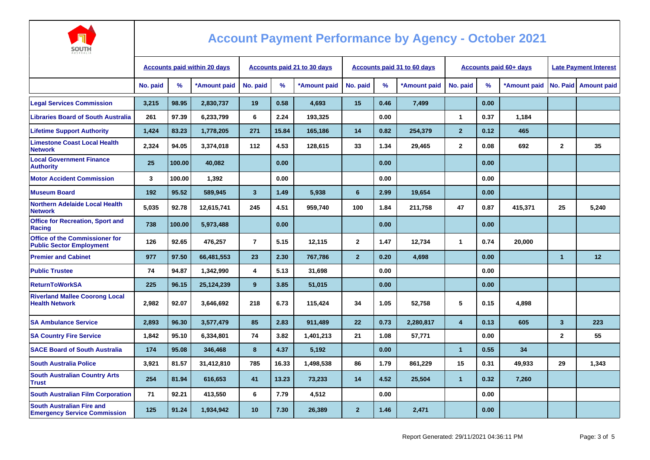

| AUSTRALIA                                                                |                                     |        |              |                                    |       |              |                |      |                             |                |                        |                              |                         |                      |
|--------------------------------------------------------------------------|-------------------------------------|--------|--------------|------------------------------------|-------|--------------|----------------|------|-----------------------------|----------------|------------------------|------------------------------|-------------------------|----------------------|
|                                                                          | <b>Accounts paid within 20 days</b> |        |              | <b>Accounts paid 21 to 30 days</b> |       |              |                |      | Accounts paid 31 to 60 days |                | Accounts paid 60+ days | <b>Late Payment Interest</b> |                         |                      |
|                                                                          | No. paid                            | %      | *Amount paid | No. paid                           | %     | *Amount paid | No. paid       | %    | *Amount paid                | No. paid       | $\%$                   | *Amount paid                 |                         | No. Paid Amount paid |
| <b>Legal Services Commission</b>                                         | 3.215                               | 98.95  | 2,830,737    | 19                                 | 0.58  | 4,693        | 15             | 0.46 | 7,499                       |                | 0.00                   |                              |                         |                      |
| <b>Libraries Board of South Australia</b>                                | 261                                 | 97.39  | 6,233,799    | 6                                  | 2.24  | 193,325      |                | 0.00 |                             | 1              | 0.37                   | 1,184                        |                         |                      |
| <b>Lifetime Support Authority</b>                                        | 1.424                               | 83.23  | 1,778,205    | 271                                | 15.84 | 165,186      | 14             | 0.82 | 254,379                     | $\overline{2}$ | 0.12                   | 465                          |                         |                      |
| <b>Limestone Coast Local Health</b><br><b>Network</b>                    | 2,324                               | 94.05  | 3,374,018    | 112                                | 4.53  | 128,615      | 33             | 1.34 | 29,465                      | $\mathbf{2}$   | 0.08                   | 692                          | $\mathbf{2}$            | 35                   |
| <b>Local Government Finance</b><br><b>Authority</b>                      | 25                                  | 100.00 | 40.082       |                                    | 0.00  |              |                | 0.00 |                             |                | 0.00                   |                              |                         |                      |
| <b>Motor Accident Commission</b>                                         | $\mathbf{3}$                        | 100.00 | 1,392        |                                    | 0.00  |              |                | 0.00 |                             |                | 0.00                   |                              |                         |                      |
| <b>Museum Board</b>                                                      | 192                                 | 95.52  | 589,945      | 3                                  | 1.49  | 5,938        | 6              | 2.99 | 19,654                      |                | 0.00                   |                              |                         |                      |
| <b>Northern Adelaide Local Health</b><br><b>Network</b>                  | 5.035                               | 92.78  | 12,615,741   | 245                                | 4.51  | 959,740      | 100            | 1.84 | 211,758                     | 47             | 0.87                   | 415,371                      | 25                      | 5,240                |
| <b>Office for Recreation, Sport and</b><br>Racing                        | 738                                 | 100.00 | 5,973,488    |                                    | 0.00  |              |                | 0.00 |                             |                | 0.00                   |                              |                         |                      |
| <b>Office of the Commissioner for</b><br><b>Public Sector Employment</b> | 126                                 | 92.65  | 476,257      | $\overline{7}$                     | 5.15  | 12.115       | $\mathbf{2}$   | 1.47 | 12,734                      | $\mathbf{1}$   | 0.74                   | 20,000                       |                         |                      |
| <b>Premier and Cabinet</b>                                               | 977                                 | 97.50  | 66,481,553   | 23                                 | 2.30  | 767,786      | $\overline{2}$ | 0.20 | 4,698                       |                | 0.00                   |                              | $\mathbf{1}$            | 12                   |
| <b>Public Trustee</b>                                                    | 74                                  | 94.87  | 1,342,990    | 4                                  | 5.13  | 31,698       |                | 0.00 |                             |                | 0.00                   |                              |                         |                      |
| <b>ReturnToWorkSA</b>                                                    | 225                                 | 96.15  | 25,124,239   | 9                                  | 3.85  | 51,015       |                | 0.00 |                             |                | 0.00                   |                              |                         |                      |
| <b>Riverland Mallee Coorong Local</b><br><b>Health Network</b>           | 2,982                               | 92.07  | 3,646,692    | 218                                | 6.73  | 115,424      | 34             | 1.05 | 52,758                      | 5              | 0.15                   | 4,898                        |                         |                      |
| <b>SA Ambulance Service</b>                                              | 2.893                               | 96.30  | 3,577,479    | 85                                 | 2.83  | 911,489      | 22             | 0.73 | 2,280,817                   | $\overline{4}$ | 0.13                   | 605                          | $\overline{\mathbf{3}}$ | 223                  |
| <b>SA Country Fire Service</b>                                           | 1.842                               | 95.10  | 6,334,801    | 74                                 | 3.82  | 1,401,213    | 21             | 1.08 | 57,771                      |                | 0.00                   |                              | $\mathbf{2}$            | 55                   |
| <b>SACE Board of South Australia</b>                                     | 174                                 | 95.08  | 346,468      | 8                                  | 4.37  | 5,192        |                | 0.00 |                             | $\mathbf{1}$   | 0.55                   | 34                           |                         |                      |
| <b>South Australia Police</b>                                            | 3,921                               | 81.57  | 31,412,810   | 785                                | 16.33 | 1,498,538    | 86             | 1.79 | 861,229                     | 15             | 0.31                   | 49,933                       | 29                      | 1,343                |
| <b>South Australian Country Arts</b><br><b>Trust</b>                     | 254                                 | 81.94  | 616,653      | 41                                 | 13.23 | 73,233       | 14             | 4.52 | 25,504                      | $\mathbf{1}$   | 0.32                   | 7,260                        |                         |                      |
| <b>South Australian Film Corporation</b>                                 | 71                                  | 92.21  | 413,550      | 6                                  | 7.79  | 4,512        |                | 0.00 |                             |                | 0.00                   |                              |                         |                      |
| <b>South Australian Fire and</b><br><b>Emergency Service Commission</b>  | 125                                 | 91.24  | 1,934,942    | 10                                 | 7.30  | 26,389       | $\overline{2}$ | 1.46 | 2,471                       |                | 0.00                   |                              |                         |                      |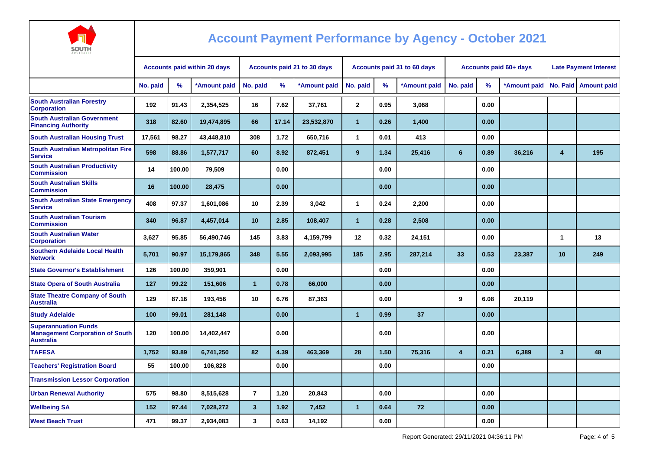

| <b>Accounts paid within 20 days</b> |        |              | Accounts paid 21 to 30 days |       |              |                |      |              |                             |      | <b>Late Payment Interest</b> |                               |                    |
|-------------------------------------|--------|--------------|-----------------------------|-------|--------------|----------------|------|--------------|-----------------------------|------|------------------------------|-------------------------------|--------------------|
| No. paid                            | %      | *Amount paid | No. paid                    | $\%$  | *Amount paid | No. paid       | %    | *Amount paid | No. paid                    | %    | *Amount paid                 | No. Paid                      | <b>Amount paid</b> |
| 192                                 | 91.43  | 2,354,525    | 16                          | 7.62  | 37,761       | $\mathbf{2}$   | 0.95 | 3,068        |                             | 0.00 |                              |                               |                    |
| 318                                 | 82.60  | 19,474,895   | 66                          | 17.14 | 23,532,870   | $\mathbf{1}$   | 0.26 | 1,400        |                             | 0.00 |                              |                               |                    |
| 17,561                              | 98.27  | 43,448,810   | 308                         | 1.72  | 650.716      | $\mathbf{1}$   | 0.01 | 413          |                             | 0.00 |                              |                               |                    |
| 598                                 | 88.86  | 1,577,717    | 60                          | 8.92  | 872,451      | 9              | 1.34 | 25,416       | 6                           | 0.89 | 36,216                       | $\overline{4}$                | 195                |
| 14                                  | 100.00 | 79,509       |                             | 0.00  |              |                | 0.00 |              |                             | 0.00 |                              |                               |                    |
| 16                                  | 100.00 | 28,475       |                             | 0.00  |              |                | 0.00 |              |                             | 0.00 |                              |                               |                    |
| 408                                 | 97.37  | 1,601,086    | 10                          | 2.39  | 3,042        | $\mathbf{1}$   | 0.24 | 2,200        |                             | 0.00 |                              |                               |                    |
| 340                                 | 96.87  | 4,457,014    | 10                          | 2.85  | 108,407      | $\overline{1}$ | 0.28 | 2,508        |                             | 0.00 |                              |                               |                    |
| 3,627                               | 95.85  | 56,490,746   | 145                         | 3.83  | 4,159,799    | 12             | 0.32 | 24,151       |                             | 0.00 |                              | $\mathbf 1$                   | 13                 |
| 5,701                               | 90.97  | 15,179,865   | 348                         | 5.55  | 2,093,995    | 185            | 2.95 | 287,214      | 33                          | 0.53 | 23,387                       | 10                            | 249                |
| 126                                 | 100.00 | 359,901      |                             | 0.00  |              |                | 0.00 |              |                             | 0.00 |                              |                               |                    |
| 127                                 | 99.22  | 151,606      | $\overline{1}$              | 0.78  | 66,000       |                | 0.00 |              |                             | 0.00 |                              |                               |                    |
| 129                                 | 87.16  | 193,456      | 10                          | 6.76  | 87,363       |                | 0.00 |              | 9                           | 6.08 | 20,119                       |                               |                    |
| 100                                 | 99.01  | 281,148      |                             | 0.00  |              | $\overline{1}$ | 0.99 | 37           |                             | 0.00 |                              |                               |                    |
| 120                                 | 100.00 | 14,402,447   |                             | 0.00  |              |                | 0.00 |              |                             | 0.00 |                              |                               |                    |
| 1,752                               | 93.89  | 6,741,250    | 82                          | 4.39  | 463,369      | 28             | 1.50 | 75,316       | 4                           | 0.21 | 6,389                        | $\mathbf{3}$                  | 48                 |
| 55                                  | 100.00 | 106,828      |                             | 0.00  |              |                | 0.00 |              |                             | 0.00 |                              |                               |                    |
|                                     |        |              |                             |       |              |                |      |              |                             |      |                              |                               |                    |
| 575                                 | 98.80  | 8,515,628    | $\overline{7}$              | 1.20  | 20,843       |                | 0.00 |              |                             | 0.00 |                              |                               |                    |
| 152                                 | 97.44  | 7,028,272    | $\mathbf{3}$                | 1.92  | 7,452        | $\mathbf{1}$   | 0.64 | 72           |                             | 0.00 |                              |                               |                    |
| 471                                 | 99.37  | 2,934,083    | $\mathbf{3}$                | 0.63  | 14,192       |                | 0.00 |              |                             | 0.00 |                              |                               |                    |
|                                     |        |              |                             |       |              |                |      |              | Accounts paid 31 to 60 days |      |                              | <b>Accounts paid 60+ days</b> |                    |